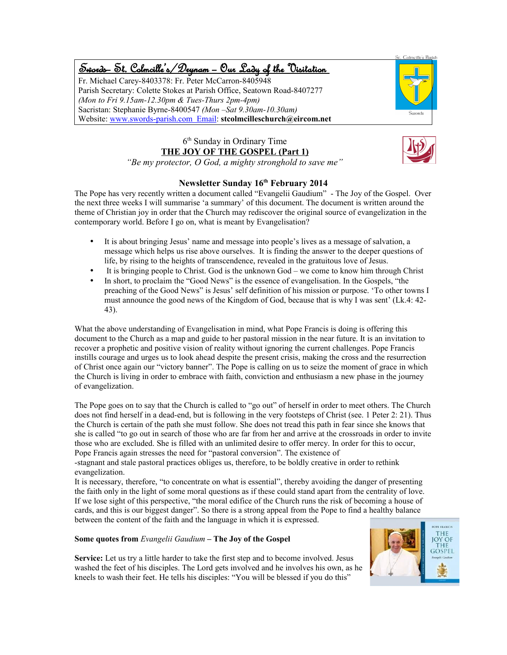# Swords – St. Colmcille's /Drynam – Our Lady of the Visitation

Fr. Michael Carey-8403378: Fr. Peter McCarron-8405948 Parish Secretary: Colette Stokes at Parish Office, Seatown Road-8407277 *(Mon to Fri 9.15am-12.30pm & Tues-Thurs 2pm-4pm)* Sacristan: Stephanie Byrne-8400547 *(Mon –Sat 9.30am-10.30am)* Website: www.swords-parish.com Email: **stcolmcilleschurch@eircom.net**



### 6 th Sunday in Ordinary Time **THE JOY OF THE GOSPEL (Part 1)**



*"Be my protector, O God, a mighty stronghold to save me"*

#### **Newsletter Sunday 16th February 2014**

The Pope has very recently written a document called "Evangelii Gaudium" - The Joy of the Gospel. Over the next three weeks I will summarise 'a summary' of this document. The document is written around the theme of Christian joy in order that the Church may rediscover the original source of evangelization in the contemporary world. Before I go on, what is meant by Evangelisation?

- It is about bringing Jesus' name and message into people's lives as a message of salvation, a message which helps us rise above ourselves. It is finding the answer to the deeper questions of life, by rising to the heights of transcendence, revealed in the gratuitous love of Jesus.
- It is bringing people to Christ. God is the unknown God we come to know him through Christ
- In short, to proclaim the "Good News" is the essence of evangelisation. In the Gospels, "the preaching of the Good News" is Jesus' self definition of his mission or purpose. 'To other towns I must announce the good news of the Kingdom of God, because that is why I was sent' (Lk.4: 42- 43).

What the above understanding of Evangelisation in mind, what Pope Francis is doing is offering this document to the Church as a map and guide to her pastoral mission in the near future. It is an invitation to recover a prophetic and positive vision of reality without ignoring the current challenges. Pope Francis instills courage and urges us to look ahead despite the present crisis, making the cross and the resurrection of Christ once again our "victory banner". The Pope is calling on us to seize the moment of grace in which the Church is living in order to embrace with faith, conviction and enthusiasm a new phase in the journey of evangelization.

The Pope goes on to say that the Church is called to "go out" of herself in order to meet others. The Church does not find herself in a dead-end, but is following in the very footsteps of Christ (see. 1 Peter 2: 21). Thus the Church is certain of the path she must follow. She does not tread this path in fear since she knows that she is called "to go out in search of those who are far from her and arrive at the crossroads in order to invite those who are excluded. She is filled with an unlimited desire to offer mercy. In order for this to occur, Pope Francis again stresses the need for "pastoral conversion". The existence of

-stagnant and stale pastoral practices obliges us, therefore, to be boldly creative in order to rethink evangelization.

It is necessary, therefore, "to concentrate on what is essential", thereby avoiding the danger of presenting the faith only in the light of some moral questions as if these could stand apart from the centrality of love. If we lose sight of this perspective, "the moral edifice of the Church runs the risk of becoming a house of cards, and this is our biggest danger". So there is a strong appeal from the Pope to find a healthy balance between the content of the faith and the language in which it is expressed.

#### **Some quotes from** *Evangelii Gaudium* **– The Joy of the Gospel**

**Service:** Let us try a little harder to take the first step and to become involved. Jesus washed the feet of his disciples. The Lord gets involved and he involves his own, as he kneels to wash their feet. He tells his disciples: "You will be blessed if you do this"

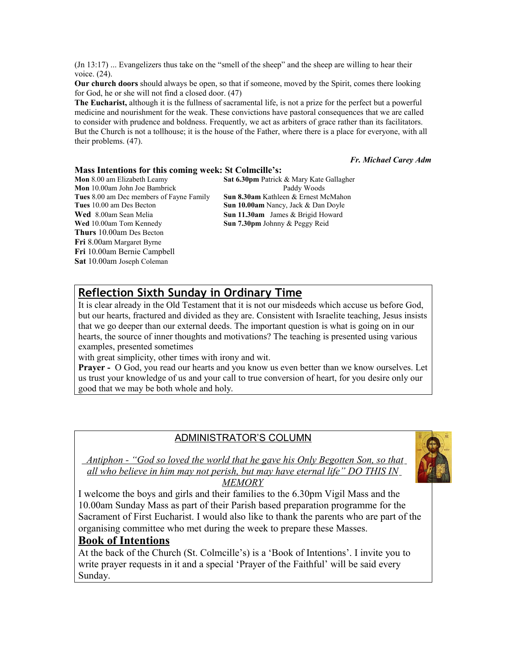(Jn 13:17) ... Evangelizers thus take on the "smell of the sheep" and the sheep are willing to hear their voice. (24).

**Our church doors** should always be open, so that if someone, moved by the Spirit, comes there looking for God, he or she will not find a closed door. (47)

**The Eucharist,** although it is the fullness of sacramental life, is not a prize for the perfect but a powerful medicine and nourishment for the weak. These convictions have pastoral consequences that we are called to consider with prudence and boldness. Frequently, we act as arbiters of grace rather than its facilitators. But the Church is not a tollhouse; it is the house of the Father, where there is a place for everyone, with all their problems. (47).

#### *Fr. Michael Carey Adm*

#### **Mass Intentions for this coming week: St Colmcille's:**

**Mon** 10.00am John Joe Bambrick Paddy Woods **Tues** 8.00 am Dec members of Fayne Family **Sun 8.30am** Kathleen & Ernest McMahon **Tues** 10.00 am Des Becton **Sun 10.00am** Nancy, Jack & Dan Doyle **Wed** 8.00am Sean Melia **Sun 11.30am** James & Brigid Howard **Wed** 10.00am Tom Kennedy **Sun 7.30pm** Johnny & Peggy Reid **Thurs** 10.00am Des Becton **Fri** 8.00am Margaret Byrne **Fri** 10.00am Bernie Campbell **Sat** 10.00am Joseph Coleman

**Mon** 8.00 am Elizabeth Leamy **Sat 6.30pm** Patrick & Mary Kate Gallagher

### **Reflection Sixth Sunday in Ordinary Time**

It is clear already in the Old Testament that it is not our misdeeds which accuse us before God, but our hearts, fractured and divided as they are. Consistent with Israelite teaching, Jesus insists that we go deeper than our external deeds. The important question is what is going on in our hearts, the source of inner thoughts and motivations? The teaching is presented using various examples, presented sometimes

with great simplicity, other times with irony and wit.

**Prayer -** O God, you read our hearts and you know us even better than we know ourselves. Let us trust your knowledge of us and your call to true conversion of heart, for you desire only our good that we may be both whole and holy.

#### ADMINISTRATOR'S COLUMN



 *Antiphon - "God so loved the world that he gave his Only Begotten Son, so that all who believe in him may not perish, but may have eternal life" DO THIS IN MEMORY*

I welcome the boys and girls and their families to the 6.30pm Vigil Mass and the 10.00am Sunday Mass as part of their Parish based preparation programme for the Sacrament of First Eucharist. I would also like to thank the parents who are part of the organising committee who met during the week to prepare these Masses.

#### **Book of Intentions**

At the back of the Church (St. Colmcille's) is a 'Book of Intentions'. I invite you to write prayer requests in it and a special 'Prayer of the Faithful' will be said every Sunday.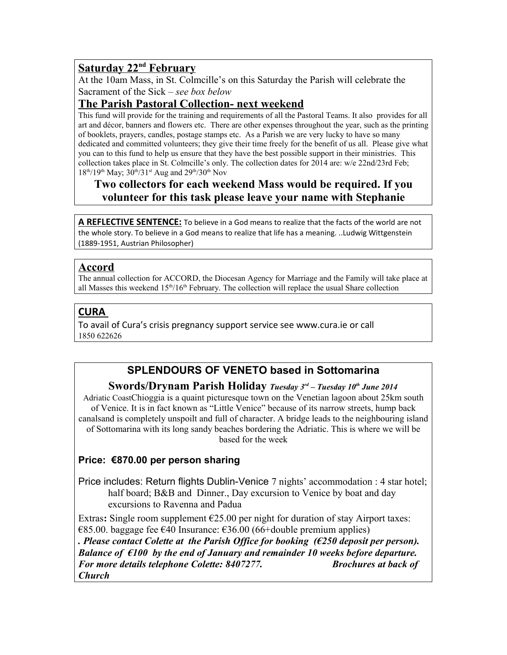# **Saturday 22nd February**

At the 10am Mass, in St. Colmcille's on this Saturday the Parish will celebrate the Sacrament of the Sick – *see box below*

## **The Parish Pastoral Collection- next weekend**

This fund will provide for the training and requirements of all the Pastoral Teams. It also provides for all art and décor, banners and flowers etc. There are other expenses throughout the year, such as the printing of booklets, prayers, candles, postage stamps etc. As a Parish we are very lucky to have so many dedicated and committed volunteers; they give their time freely for the benefit of us all. Please give what you can to this fund to help us ensure that they have the best possible support in their ministries. This collection takes place in St. Colmcille's only. The collection dates for 2014 are: w/e 22nd/23rd Feb;  $18^{th}/19^{th}$  May;  $30^{th}/31^{st}$  Aug and  $29^{th}/30^{th}$  Nov

## **Two collectors for each weekend Mass would be required. If you volunteer for this task please leave your name with Stephanie**

**A REFLECTIVE SENTENCE:** To believe in a God means to realize that the facts of the world are not the whole story. To believe in a God means to realize that life has a meaning. ..Ludwig Wittgenstein (1889-1951, Austrian Philosopher)

## **Accord**

The annual collection for ACCORD, the Diocesan Agency for Marriage and the Family will take place at all Masses this weekend 15<sup>th</sup>/16<sup>th</sup> February. The collection will replace the usual Share collection

### **CURA**

To avail of Cura's crisis pregnancy support service see www.cura.ie or call 1850 622626

# **SPLENDOURS OF VENETO based in Sottomarina**

#### **Swords/Drynam Parish Holiday** *Tuesday 3rd – Tuesday 10th June 2014*

Adriatic CoastChioggia is a quaint picturesque town on the Venetian lagoon about 25km south of Venice. It is in fact known as "Little Venice" because of its narrow streets, hump back canalsand is completely unspoilt and full of character. A bridge leads to the neighbouring island of Sottomarina with its long sandy beaches bordering the Adriatic. This is where we will be based for the week

### **Price: €870.00 per person sharing**

Price includes: Return flights Dublin-Venice 7 nights' accommodation : 4 star hotel; half board; B&B and Dinner., Day excursion to Venice by boat and day excursions to Ravenna and Padua

Extras: Single room supplement  $E$ 25.00 per night for duration of stay Airport taxes:  $€85.00.$  baggage fee  $€40$  Insurance:  $€36.00$  (66+double premium applies)

*. Please contact Colette at the Parish Office for booking (€250 deposit per person). Balance of €100 by the end of January and remainder 10 weeks before departure. For more details telephone Colette: 8407277. Brochures at back of Church*